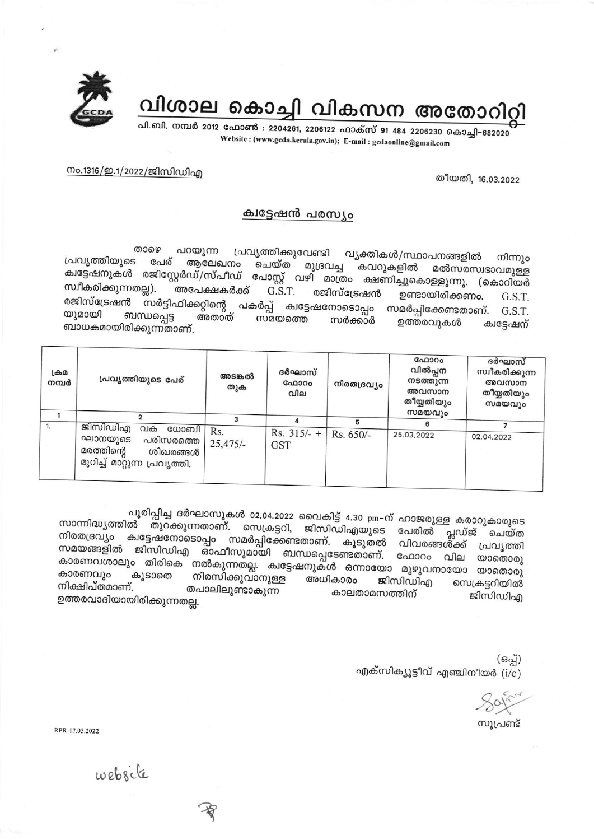

വിശാല കൊച്ചി വികസന അതോറി

പി.ബി. നമ്പർ 2012 ഫോൺ : 2204261, 2206122 ഫാക്സ് 91 484 2206230 കൊച്ചി-682020 Website: (www.gcda.kerala.gov.in); E-mail: gcdaonline@gmail.com

തീയതി, 16.03.2022

നം.1316/ഇ.1/2022/ജിസിഡിഎ

## ക്വട്ടേഷൻ പരസ്യം

താഴെ പ്രവൃത്തിക്കുവേണ്ടി വൃക്തികൾ/സ്ഥാപനങ്ങളിൽ പറയുന്ന നിന്നും പ്രവ്യത്തിയുടെ പേര് ആലേഖനം മുദ്രവച്ച കവറുകളിൽ മൽസരസഭാവമുള്ള ചെയ്ത ക്വട്ടേഷനുകൾ രജിസ്റ്റേർഡ്/സ്പീഡ് പോസ്റ്റ് വഴി മാത്രം ക്ഷണിച്ചുകൊള്ളുന്നു. (കൊറിയർ സ്വീകരിക്കുന്നതല്ല). അപേക്ഷകർക്ക് രജിസ്ട്രേഷൻ G.S.T. ഉണ്ടായിരിക്കണം. G.S.T. രജിസ്ട്രേഷൻ സർട്ടിഫിക്കറ്റിന്റെ പകർപ്പ് ക്വട്ടേഷനോടൊപ്പം സമർപ്പിക്കേണ്ടതാണ്. G.S.T. യുമായി ബന്ധപ്പെട്ട അതാത് സമയത്തെ സർക്കാർ ഉത്തരവുകൾ ക്വട്ടേഷന് ബാധകമായിരിക്കുന്നതാണ്.

| ക്രമ<br>നമ്പർ | പ്രവൃത്തിയുടെ പേര്                                                                                       | അടങ്കൽ<br>തുക     | ദർഘാസ്<br>ഫോറം<br>വില       | നിരതദ്രവ്യം | ഫോറം<br>വിൽപ്പന<br>നടത്തുന്ന<br>അവസാന<br>തീയ്യതിയും<br>സമയവും | ദർഘാസ്<br>സ്വീകരിക്കുന്ന<br>അവസാന<br>തീയ്യതിയും<br>സമയവും |
|---------------|----------------------------------------------------------------------------------------------------------|-------------------|-----------------------------|-------------|---------------------------------------------------------------|-----------------------------------------------------------|
| 1.            |                                                                                                          |                   |                             |             |                                                               |                                                           |
|               | ജിസിഡിഎ<br>വക<br>ധോബി<br>ഘാനയുടെ<br>പരിസരത്തെ<br>മരത്തിന്റെ<br>ശിഖരങ്ങൾ<br>മുറിച്ച് മാറ്റുന്ന പ്രവൃത്തി. | Rs.<br>$25,475/-$ | $Rs. 315/- +$<br><b>GST</b> | Rs. 650/-   | 25.03.2022                                                    | 02.04.2022                                                |

പൂരിപ്പിച്ച ദർഘാസുകൾ 02.04.2022 വൈകിട്ട് 4.30 pm-ന് ഹാജരുള്ള കരാറുകാരുടെ സാന്നിദ്ധ്യത്തിൽ തുറക്കുന്നതാണ്. സെക്രട്ടറി, ജിസിഡിഎയുടെ പേരിൽ പ്ലഡ്ജ് ചെയ്ത നിരതദ്രവ്യം കുട്ടേഷനോടൊപ്പം സമർപ്പിക്കേണ്ടതാണ്. കൂടുതൽ വിവരങ്ങൾക്ക് സമയങ്ങളിൽ ജിസിഡിഎ ഓഫീസുമായി ബന്ധപ്പെടേണ്ടതാണ്. ഫോറം വില യാതൊരു കാരണവശാലും തിരികെ നൽകുന്നതല്ല. ക്വട്ടേഷനുകൾ ഒന്നായോ മുഴുവനായോ യാതൊരു കാരണവും കൂടാതെ നിരസിക്കുവാനുള്ള അധികാരം ജിസിഡിഎ സെക്രട്ടറിയിൽ നിക്ഷിപ്തമാണ്. തപാലിലുണ്ടാകുന്ന കാലതാമസത്തിന് ജിസിഡിഎ ഉത്തരവാദിയായിരിക്കുന്നതല്ല.

> (ഒപ്പ്) എക്സിക്യൂട്ടീവ് എഞ്ചിനീയർ  $(i/c)$

സൂപ്രണ്ട്

RPR-17.03.2022

website